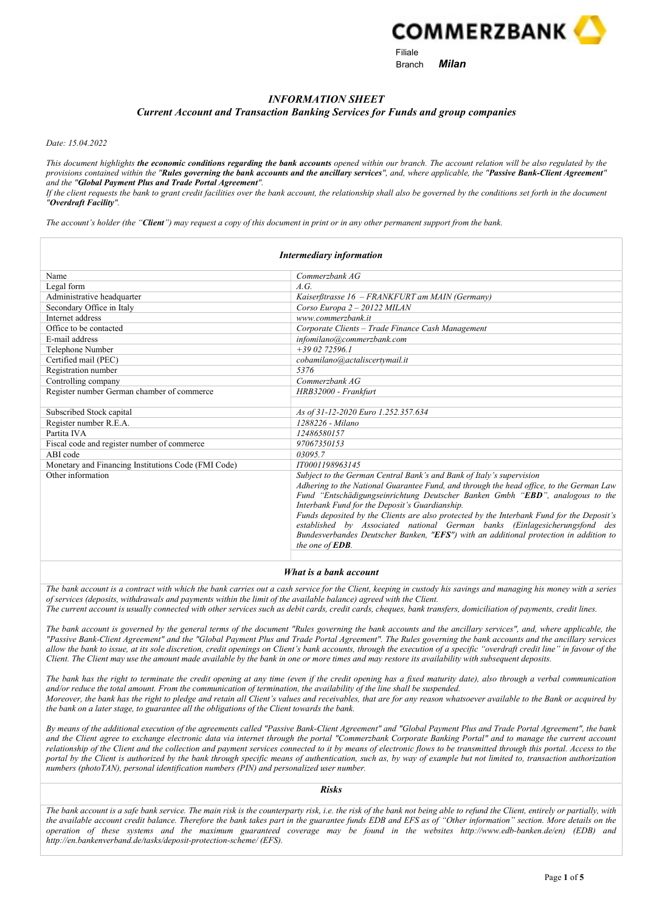

e and the state of the Branch of Milan

# INFORMATION SHEET

#### Current Account and Transaction Banking Services for Funds and group companies

Date: 15.04.2022

This document highlights the economic conditions regarding the bank accounts opened within our branch. The account relation will be also regulated by the provisions contained within the "Rules governing the bank accounts and the ancillary services", and, where applicable, the "Passive Bank-Client Agreement" and the "Global Payment Plus and Trade Portal Agreement".

If the client requests the bank to grant credit facilities over the bank account, the relationship shall also be governed by the conditions set forth in the document "Overdraft Facility".

The account's holder (the "**Client**") may request a copy of this document in print or in any other permanent support from the bank.

|                                                     | Intermediary information                                                                                                                                                                                                                                                                                                                                                                                                                                                                                                                                                                          |
|-----------------------------------------------------|---------------------------------------------------------------------------------------------------------------------------------------------------------------------------------------------------------------------------------------------------------------------------------------------------------------------------------------------------------------------------------------------------------------------------------------------------------------------------------------------------------------------------------------------------------------------------------------------------|
| Name                                                | Commerzbank AG                                                                                                                                                                                                                                                                                                                                                                                                                                                                                                                                                                                    |
| Legal form                                          | A.G.                                                                                                                                                                                                                                                                                                                                                                                                                                                                                                                                                                                              |
| Administrative headquarter                          | Kaiserßtrasse 16 - FRANKFURT am MAIN (Germany)                                                                                                                                                                                                                                                                                                                                                                                                                                                                                                                                                    |
| Secondary Office in Italy                           | Corso Europa 2 - 20122 MILAN                                                                                                                                                                                                                                                                                                                                                                                                                                                                                                                                                                      |
| Internet address                                    | www.commerzbank.it                                                                                                                                                                                                                                                                                                                                                                                                                                                                                                                                                                                |
| Office to be contacted                              | Corporate Clients - Trade Finance Cash Management                                                                                                                                                                                                                                                                                                                                                                                                                                                                                                                                                 |
| E-mail address                                      | infomilano@commerzbank.com                                                                                                                                                                                                                                                                                                                                                                                                                                                                                                                                                                        |
| Telephone Number                                    | $+39.02.72596.1$                                                                                                                                                                                                                                                                                                                                                                                                                                                                                                                                                                                  |
| Certified mail (PEC)                                | cobamilano@actaliscertymail.it                                                                                                                                                                                                                                                                                                                                                                                                                                                                                                                                                                    |
| Registration number                                 | 5376                                                                                                                                                                                                                                                                                                                                                                                                                                                                                                                                                                                              |
| Controlling company                                 | Commerzbank AG                                                                                                                                                                                                                                                                                                                                                                                                                                                                                                                                                                                    |
| Register number German chamber of commerce          | HRB32000 - Frankfurt                                                                                                                                                                                                                                                                                                                                                                                                                                                                                                                                                                              |
|                                                     |                                                                                                                                                                                                                                                                                                                                                                                                                                                                                                                                                                                                   |
| Subscribed Stock capital                            | As of 31-12-2020 Euro 1.252.357.634                                                                                                                                                                                                                                                                                                                                                                                                                                                                                                                                                               |
| Register number R.E.A.                              | 1288226 - Milano                                                                                                                                                                                                                                                                                                                                                                                                                                                                                                                                                                                  |
| Partita IVA                                         | 12486580157                                                                                                                                                                                                                                                                                                                                                                                                                                                                                                                                                                                       |
| Fiscal code and register number of commerce         | 97067350153                                                                                                                                                                                                                                                                                                                                                                                                                                                                                                                                                                                       |
| ABI code                                            | 03095.7                                                                                                                                                                                                                                                                                                                                                                                                                                                                                                                                                                                           |
| Monetary and Financing Institutions Code (FMI Code) | IT0001198963145                                                                                                                                                                                                                                                                                                                                                                                                                                                                                                                                                                                   |
| Other information                                   | Subject to the German Central Bank's and Bank of Italy's supervision<br>Adhering to the National Guarantee Fund, and through the head office, to the German Law<br>Fund "Entschädigungseinrichtung Deutscher Banken Gmbh "EBD", analogous to the<br>Interbank Fund for the Deposit's Guardianship.<br>Funds deposited by the Clients are also protected by the Interbank Fund for the Deposit's<br>established by Associated national German banks (Einlagesicherungsfond des<br>Bundesverbandes Deutscher Banken, "EFS") with an additional protection in addition to<br>the one of <b>EDB</b> . |

#### What is a bank account

The bank account is a contract with which the bank carries out a cash service for the Client, keeping in custody his savings and managing his money with a series of services (deposits, withdrawals and payments within the limit of the available balance) agreed with the Client.

The current account is usually connected with other services such as debit cards, credit cards, cheques, bank transfers, domiciliation of payments, credit lines.

The bank account is governed by the general terms of the document "Rules governing the bank accounts and the ancillary services", and, where applicable, the "Passive Bank-Client Agreement" and the "Global Payment Plus and Trade Portal Agreement". The Rules governing the bank accounts and the ancillary services allow the bank to issue, at its sole discretion, credit openings on Client's bank accounts, through the execution of a specific "overdraft credit line" in favour of the Client. The Client may use the amount made available by the bank in one or more times and may restore its availability with subsequent deposits.

The bank has the right to terminate the credit opening at any time (even if the credit opening has a fixed maturity date), also through a verbal communication and/or reduce the total amount. From the communication of termination, the availability of the line shall be suspended. Moreover, the bank has the right to pledge and retain all Client's values and receivables, that are for any reason whatsoever available to the Bank or acquired by the bank on a later stage, to guarantee all the obligations of the Client towards the bank.

By means of the additional execution of the agreements called "Passive Bank-Client Agreement" and "Global Payment Plus and Trade Portal Agreement", the bank and the Client agree to exchange electronic data via internet through the portal "Commerzbank Corporate Banking Portal" and to manage the current account relationship of the Client and the collection and payment services connected to it by means of electronic flows to be transmitted through this portal. Access to the portal by the Client is authorized by the bank through specific means of authentication, such as, by way of example but not limited to, transaction authorization numbers (photoTAN), personal identification numbers (PIN) and personalized user number.

#### Risks

The bank account is a safe bank service. The main risk is the counterparty risk, i.e. the risk of the bank not being able to refund the Client, entirely or partially, with the available account credit balance. Therefore the bank takes part in the guarantee funds EDB and EFS as of "Other information" section. More details on the operation of these systems and the maximum guaranteed coverage may be found in the websites http://www.edb-banken.de/en) (EDB) and http://en.bankenverband.de/tasks/deposit-protection-scheme/ (EFS).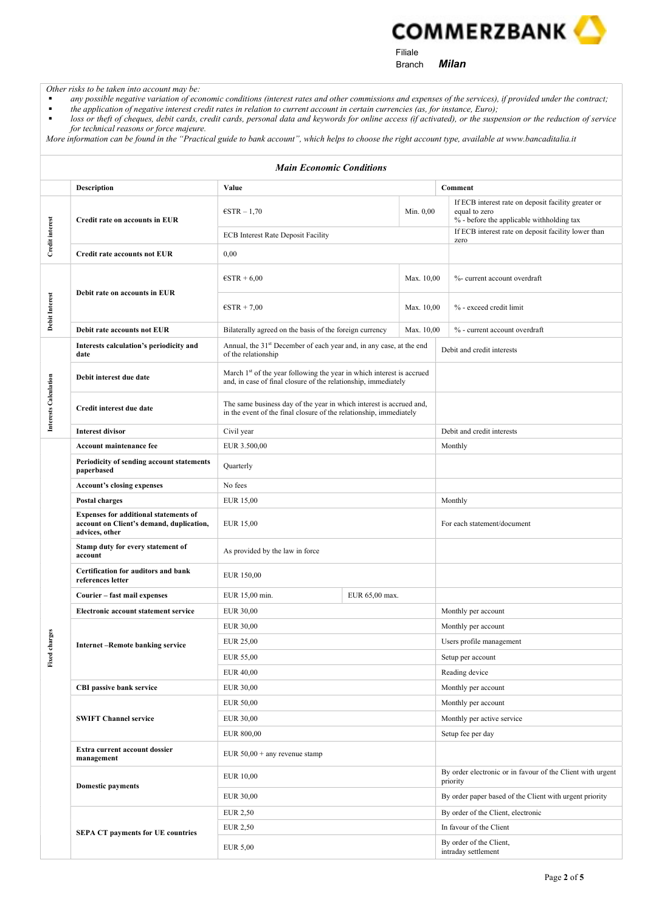**COMMERZBANK** 

Filiale

Branch **Milan** 

Other risks to be taken into account may be:

- any possible negative variation of economic conditions (interest rates and other commissions and expenses of the services), if provided under the contract;
- the application of negative interest credit rates in relation to current account in certain currencies (as, for instance, Euro); **Interpret constructs** or theft of cheques, debit cards, credit cards, personal data and keywords for online access (if activated), or the suspension or the reduction of service
- for technical reasons or force majeure. More information can be found in the "Practical guide to bank account", which helps to choose the right account type, available at www.bancaditalia.it

| <b>Main Economic Conditions</b> |                                                                                                            |                                                                                                                                                     |                |                                                                                                                   |                                                                        |
|---------------------------------|------------------------------------------------------------------------------------------------------------|-----------------------------------------------------------------------------------------------------------------------------------------------------|----------------|-------------------------------------------------------------------------------------------------------------------|------------------------------------------------------------------------|
|                                 | <b>Description</b>                                                                                         | Value                                                                                                                                               |                |                                                                                                                   | Comment                                                                |
| <b>Credit interest</b>          | Credit rate on accounts in EUR                                                                             | $\epsilon$ STR - 1,70<br>Min. 0,00                                                                                                                  |                | If ECB interest rate on deposit facility greater or<br>equal to zero<br>% - before the applicable withholding tax |                                                                        |
|                                 |                                                                                                            | <b>ECB</b> Interest Rate Deposit Facility                                                                                                           |                | If ECB interest rate on deposit facility lower than<br>zero                                                       |                                                                        |
|                                 | <b>Credit rate accounts not EUR</b>                                                                        | 0,00                                                                                                                                                |                |                                                                                                                   |                                                                        |
|                                 | Debit rate on accounts in EUR                                                                              | $\epsilon$ STR + 6,00<br>Max. 10,00                                                                                                                 |                |                                                                                                                   | %- current account overdraft                                           |
| Debit Interest                  |                                                                                                            | $\epsilon$ STR + 7,00<br>Max. 10.00                                                                                                                 |                |                                                                                                                   | % - exceed credit limit                                                |
|                                 | Debit rate accounts not EUR                                                                                | Bilaterally agreed on the basis of the foreign currency<br>Max. 10,00                                                                               |                |                                                                                                                   | % - current account overdraft                                          |
|                                 | Interests calculation's periodicity and<br>date                                                            | Annual, the 31 <sup>st</sup> December of each year and, in any case, at the end<br>of the relationship                                              |                |                                                                                                                   | Debit and credit interests                                             |
| Interests Calculation           | Debit interest due date                                                                                    | March 1 <sup>st</sup> of the year following the year in which interest is accrued<br>and, in case of final closure of the relationship, immediately |                |                                                                                                                   |                                                                        |
|                                 | Credit interest due date                                                                                   | The same business day of the year in which interest is accrued and,<br>in the event of the final closure of the relationship, immediately           |                |                                                                                                                   |                                                                        |
|                                 | <b>Interest divisor</b>                                                                                    | Civil year                                                                                                                                          |                |                                                                                                                   | Debit and credit interests                                             |
|                                 | Account maintenance fee                                                                                    | EUR 3.500,00                                                                                                                                        |                |                                                                                                                   | Monthly                                                                |
|                                 | Periodicity of sending account statements<br>paperbased                                                    | Quarterly                                                                                                                                           |                |                                                                                                                   |                                                                        |
|                                 | <b>Account's closing expenses</b>                                                                          | No fees                                                                                                                                             |                |                                                                                                                   |                                                                        |
|                                 | Postal charges                                                                                             | EUR 15,00                                                                                                                                           |                |                                                                                                                   | Monthly                                                                |
|                                 | <b>Expenses for additional statements of</b><br>account on Client's demand, duplication,<br>advices, other | EUR 15,00                                                                                                                                           |                |                                                                                                                   | For each statement/document                                            |
|                                 | Stamp duty for every statement of<br>account                                                               | As provided by the law in force                                                                                                                     |                |                                                                                                                   |                                                                        |
|                                 | Certification for auditors and bank<br>references letter                                                   | EUR 150,00                                                                                                                                          |                |                                                                                                                   |                                                                        |
|                                 | Courier - fast mail expenses                                                                               | EUR 15,00 min.                                                                                                                                      | EUR 65,00 max. |                                                                                                                   |                                                                        |
|                                 | Electronic account statement service                                                                       | <b>EUR 30,00</b>                                                                                                                                    |                |                                                                                                                   | Monthly per account                                                    |
| rges                            | <b>Internet-Remote banking service</b>                                                                     | <b>EUR 30,00</b>                                                                                                                                    |                |                                                                                                                   | Monthly per account                                                    |
|                                 |                                                                                                            | <b>EUR 25,00</b>                                                                                                                                    |                |                                                                                                                   | Users profile management                                               |
| Fixed ch                        |                                                                                                            | EUR 55,00                                                                                                                                           |                |                                                                                                                   | Setup per account                                                      |
|                                 |                                                                                                            | <b>EUR 40,00</b>                                                                                                                                    |                |                                                                                                                   | Reading device                                                         |
|                                 | CBI passive bank service                                                                                   | <b>EUR 30,00</b>                                                                                                                                    |                |                                                                                                                   | Monthly per account                                                    |
|                                 | <b>SWIFT Channel service</b>                                                                               | <b>EUR 50,00</b>                                                                                                                                    |                |                                                                                                                   | Monthly per account                                                    |
|                                 |                                                                                                            | <b>EUR 30,00</b>                                                                                                                                    |                |                                                                                                                   | Monthly per active service                                             |
|                                 |                                                                                                            | EUR 800,00                                                                                                                                          |                |                                                                                                                   | Setup fee per day                                                      |
|                                 | Extra current account dossier<br>management                                                                | EUR $50,00 +$ any revenue stamp                                                                                                                     |                |                                                                                                                   |                                                                        |
|                                 | <b>Domestic payments</b>                                                                                   | <b>EUR 10,00</b>                                                                                                                                    |                |                                                                                                                   | By order electronic or in favour of the Client with urgent<br>priority |
|                                 |                                                                                                            | EUR 30,00                                                                                                                                           |                |                                                                                                                   | By order paper based of the Client with urgent priority                |
|                                 | <b>SEPA CT payments for UE countries</b>                                                                   | EUR 2,50                                                                                                                                            |                |                                                                                                                   | By order of the Client, electronic                                     |
|                                 |                                                                                                            | <b>EUR 2,50</b>                                                                                                                                     |                |                                                                                                                   | In favour of the Client                                                |
|                                 |                                                                                                            | <b>EUR 5,00</b>                                                                                                                                     |                | By order of the Client,<br>intraday settlement                                                                    |                                                                        |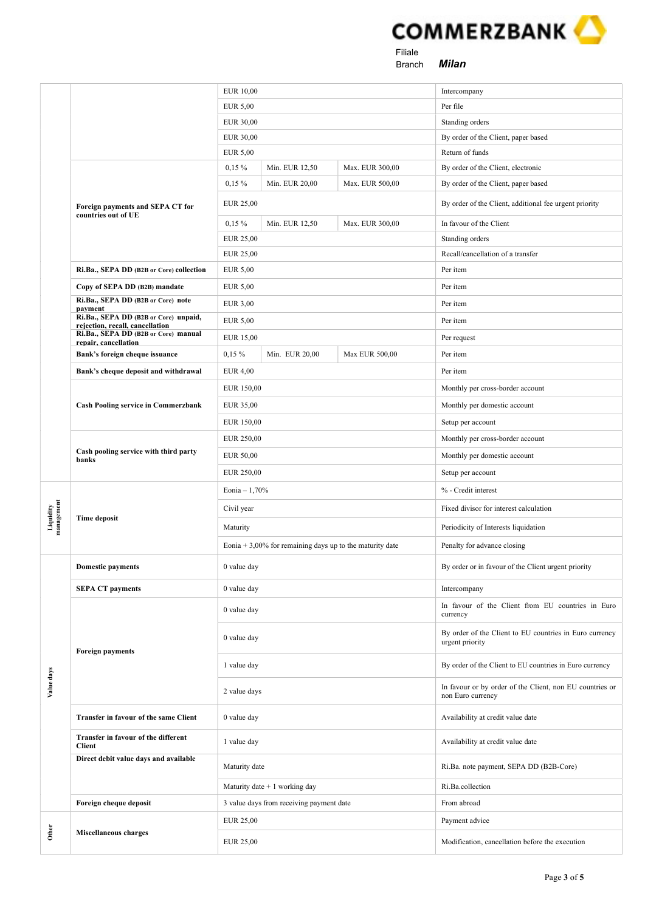

 Filiale Branch **Milan** 

|                         |                                                                          | <b>EUR 10,00</b><br><b>EUR 5,00</b>                         |                                          |                 | Intercompany                                                                  |
|-------------------------|--------------------------------------------------------------------------|-------------------------------------------------------------|------------------------------------------|-----------------|-------------------------------------------------------------------------------|
|                         |                                                                          |                                                             |                                          |                 | Per file                                                                      |
|                         |                                                                          | <b>EUR 30,00</b>                                            |                                          |                 | Standing orders                                                               |
|                         |                                                                          | <b>EUR 30,00</b>                                            |                                          |                 | By order of the Client, paper based                                           |
|                         |                                                                          | EUR 5,00                                                    |                                          |                 | Return of funds                                                               |
|                         | Foreign payments and SEPA CT for<br>countries out of UE                  | $0,15\%$                                                    | Min. EUR 12,50                           | Max. EUR 300,00 | By order of the Client, electronic                                            |
|                         |                                                                          | $0,15\%$                                                    | Min. EUR 20,00                           | Max. EUR 500,00 | By order of the Client, paper based                                           |
|                         |                                                                          | EUR 25,00                                                   |                                          |                 | By order of the Client, additional fee urgent priority                        |
|                         |                                                                          | $0,15\%$                                                    | Min. EUR 12,50                           | Max. EUR 300,00 | In favour of the Client                                                       |
|                         |                                                                          | EUR 25,00                                                   |                                          |                 | Standing orders                                                               |
|                         |                                                                          | <b>EUR 25,00</b>                                            |                                          |                 | Recall/cancellation of a transfer                                             |
|                         | Ri.Ba., SEPA DD (B2B or Core) collection                                 | <b>EUR 5,00</b>                                             |                                          |                 | Per item                                                                      |
|                         | Copy of SEPA DD (B2B) mandate                                            | <b>EUR 5,00</b>                                             |                                          |                 | Per item                                                                      |
|                         | Ri.Ba., SEPA DD (B2B or Core) note<br>payment                            | <b>EUR 3,00</b>                                             |                                          |                 | Per item                                                                      |
|                         | Ri.Ba., SEPA DD (B2B or Core) unpaid,<br>rejection, recall, cancellation | <b>EUR 5,00</b>                                             |                                          |                 | Per item                                                                      |
|                         | Ri.Ba., SEPA DD (B2B or Core) manual<br>repair, cancellation             | <b>EUR 15,00</b>                                            |                                          |                 | Per request                                                                   |
|                         | Bank's foreign cheque issuance                                           | $0,15\%$                                                    | Min. EUR 20,00                           | Max EUR 500,00  | Per item                                                                      |
|                         | Bank's cheque deposit and withdrawal                                     | <b>EUR 4,00</b>                                             |                                          |                 | Per item                                                                      |
|                         |                                                                          | EUR 150,00                                                  |                                          |                 | Monthly per cross-border account                                              |
|                         | <b>Cash Pooling service in Commerzbank</b>                               |                                                             |                                          |                 | Monthly per domestic account                                                  |
|                         |                                                                          |                                                             | EUR 150,00                               |                 | Setup per account                                                             |
|                         |                                                                          | EUR 250,00<br>EUR 50,00                                     |                                          |                 | Monthly per cross-border account                                              |
|                         | Cash pooling service with third party<br>banks                           |                                                             |                                          |                 | Monthly per domestic account                                                  |
|                         |                                                                          |                                                             |                                          |                 | Setup per account                                                             |
|                         |                                                                          | EUR 250,00<br>Eonia $-1,70%$                                |                                          |                 | % - Credit interest                                                           |
|                         | <b>Time deposit</b>                                                      | Civil year                                                  |                                          |                 | Fixed divisor for interest calculation                                        |
| Liquidity<br>management |                                                                          | Maturity                                                    |                                          |                 | Periodicity of Interests liquidation                                          |
|                         |                                                                          | Eonia + $3,00\%$ for remaining days up to the maturity date |                                          |                 | Penalty for advance closing                                                   |
|                         | <b>Domestic payments</b>                                                 | 0 value day                                                 |                                          |                 | By order or in favour of the Client urgent priority                           |
|                         | <b>SEPA CT payments</b>                                                  | 0 value day                                                 |                                          |                 | Intercompany                                                                  |
|                         |                                                                          | 0 value day                                                 |                                          |                 | In favour of the Client from EU countries in Euro<br>currency                 |
|                         | <b>Foreign payments</b>                                                  | 0 value day                                                 |                                          |                 | By order of the Client to EU countries in Euro currency<br>urgent priority    |
|                         |                                                                          | 1 value day                                                 |                                          |                 | By order of the Client to EU countries in Euro currency                       |
| Value days              |                                                                          | 2 value days                                                |                                          |                 | In favour or by order of the Client, non EU countries or<br>non Euro currency |
|                         | Transfer in favour of the same Client                                    | 0 value day                                                 |                                          |                 | Availability at credit value date                                             |
|                         | Transfer in favour of the different<br><b>Client</b>                     | 1 value day                                                 |                                          |                 | Availability at credit value date                                             |
|                         | Direct debit value days and available                                    | Maturity date                                               |                                          |                 | Ri.Ba. note payment, SEPA DD (B2B-Core)                                       |
|                         |                                                                          | Maturity date $+1$ working day                              |                                          |                 | Ri.Ba.collection                                                              |
|                         | Foreign cheque deposit                                                   |                                                             | 3 value days from receiving payment date |                 | From abroad                                                                   |
|                         |                                                                          | EUR 25,00                                                   |                                          |                 | Payment advice                                                                |
|                         | Other<br><b>Miscellaneous charges</b>                                    |                                                             | EUR 25,00                                |                 | Modification, cancellation before the execution                               |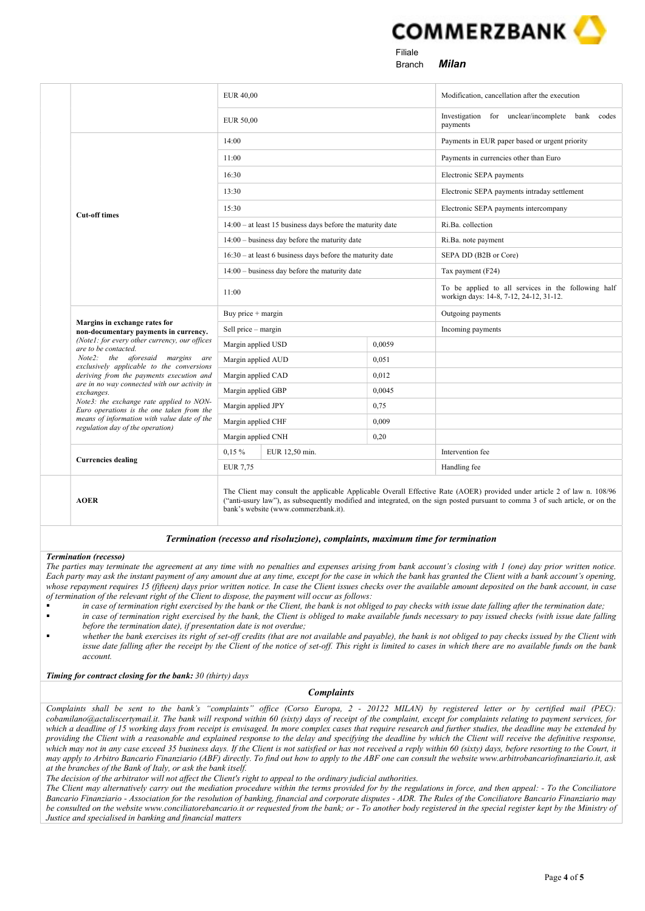

 Filiale e and the state of the Branch of Milan

|                                                                                          | <b>EUR 40,00</b>                                                                                                                                                                                                                                                                                   |  |              | Modification, cancellation after the execution                                                 |
|------------------------------------------------------------------------------------------|----------------------------------------------------------------------------------------------------------------------------------------------------------------------------------------------------------------------------------------------------------------------------------------------------|--|--------------|------------------------------------------------------------------------------------------------|
|                                                                                          | <b>EUR 50,00</b>                                                                                                                                                                                                                                                                                   |  |              | Investigation for unclear/incomplete bank codes<br>payments                                    |
|                                                                                          | 14:00                                                                                                                                                                                                                                                                                              |  |              | Payments in EUR paper based or urgent priority                                                 |
|                                                                                          | 11:00                                                                                                                                                                                                                                                                                              |  |              | Payments in currencies other than Euro                                                         |
|                                                                                          | 16:30                                                                                                                                                                                                                                                                                              |  |              | Electronic SEPA payments                                                                       |
|                                                                                          | 13:30                                                                                                                                                                                                                                                                                              |  |              | Electronic SEPA payments intraday settlement                                                   |
|                                                                                          | 15:30                                                                                                                                                                                                                                                                                              |  |              | Electronic SEPA payments intercompany                                                          |
| <b>Cut-off times</b>                                                                     | $14:00 - at least 15 business days before the maturity date$                                                                                                                                                                                                                                       |  |              | Ri.Ba. collection                                                                              |
|                                                                                          | $14:00 - \text{business day before the maturity date}$                                                                                                                                                                                                                                             |  |              | Ri.Ba. note payment                                                                            |
|                                                                                          | $16:30 - at least 6 business days before the maturity date$                                                                                                                                                                                                                                        |  |              | SEPA DD (B2B or Core)                                                                          |
|                                                                                          | $14:00 - \text{business day before the maturity date}$                                                                                                                                                                                                                                             |  |              | Tax payment (F24)                                                                              |
|                                                                                          | 11:00                                                                                                                                                                                                                                                                                              |  |              | To be applied to all services in the following half<br>workign days: 14-8, 7-12, 24-12, 31-12. |
|                                                                                          | Buy price + margin                                                                                                                                                                                                                                                                                 |  |              | Outgoing payments                                                                              |
| Margins in exchange rates for<br>non-documentary payments in currency.                   | Sell price - margin                                                                                                                                                                                                                                                                                |  |              | Incoming payments                                                                              |
| (Note1: for every other currency, our offices<br>are to be contacted.                    | Margin applied USD                                                                                                                                                                                                                                                                                 |  | 0.0059       |                                                                                                |
| Note2: the aforesaid margins are<br>exclusively applicable to the conversions            | Margin applied AUD                                                                                                                                                                                                                                                                                 |  | 0,051        |                                                                                                |
| deriving from the payments execution and<br>are in no way connected with our activity in | Margin applied CAD                                                                                                                                                                                                                                                                                 |  | 0.012        |                                                                                                |
| exchanges.                                                                               | Margin applied GBP                                                                                                                                                                                                                                                                                 |  | 0,0045       |                                                                                                |
| Note3: the exchange rate applied to NON-<br>Euro operations is the one taken from the    | Margin applied JPY                                                                                                                                                                                                                                                                                 |  | 0.75         |                                                                                                |
| means of information with value date of the<br>regulation day of the operation)          | Margin applied CHF                                                                                                                                                                                                                                                                                 |  | 0,009        |                                                                                                |
|                                                                                          | Margin applied CNH<br>0,20                                                                                                                                                                                                                                                                         |  |              |                                                                                                |
| <b>Currencies dealing</b>                                                                | $0.15\%$<br>EUR 12,50 min.                                                                                                                                                                                                                                                                         |  |              | Intervention fee                                                                               |
|                                                                                          | <b>EUR 7,75</b>                                                                                                                                                                                                                                                                                    |  | Handling fee |                                                                                                |
| <b>AOER</b>                                                                              | The Client may consult the applicable Applicable Overall Effective Rate (AOER) provided under article 2 of law n. 108/96<br>("anti-usury law"), as subsequently modified and integrated, on the sign posted pursuant to comma 3 of such article, or on the<br>bank's website (www.commerzbank.it). |  |              |                                                                                                |

## Termination (recesso and risoluzione), complaints, maximum time for termination

#### Termination (recesso)

The parties may terminate the agreement at any time with no penalties and expenses arising from bank account's closing with 1 (one) day prior written notice. Each party may ask the instant payment of any amount due at any time, except for the case in which the bank has granted the Client with a bank account's opening, whose repayment requires 15 (fifteen) days prior written notice. In case the Client issues checks over the available amount deposited on the bank account, in case of termination of the relevant right of the Client to dispose, the payment will occur as follows:

- in case of termination right exercised by the bank or the Client, the bank is not obliged to pay checks with issue date falling after the termination date;
- in case of termination right exercised by the bank, the Client is obliged to make available funds necessary to pay issued checks (with issue date falling before the termination date), if presentation date is not overdue;
- whether the bank exercises its right of set-off credits (that are not available and payable), the bank is not obliged to pay checks issued by the Client with issue date falling after the receipt by the Client of the notice of set-off. This right is limited to cases in which there are no available funds on the bank account.

## Timing for contract closing for the bank: 30 (thirty) days

## Complaints

Complaints shall be sent to the bank's "complaints" office (Corso Europa, 2 - 20122 MILAN) by registered letter or by certified mail (PEC): cobamilano@actaliscertymail.it. The bank will respond within 60 (sixty) days of receipt of the complaint, except for complaints relating to payment services, for which a deadline of 15 working days from receipt is envisaged. In more complex cases that require research and further studies, the deadline may be extended by providing the Client with a reasonable and explained response to the delay and specifying the deadline by which the Client will receive the definitive response, which may not in any case exceed 35 business days. If the Client is not satisfied or has not received a reply within 60 (sixty) days, before resorting to the Court, it may apply to Arbitro Bancario Finanziario (ABF) directly. To find out how to apply to the ABF one can consult the website www.arbitrobancariofinanziario.it, ask at the branches of the Bank of Italy, or ask the bank itself.

The decision of the arbitrator will not affect the Client's right to appeal to the ordinary judicial authorities.

The Client may alternatively carry out the mediation procedure within the terms provided for by the regulations in force, and then appeal: - To the Conciliatore Bancario Finanziario - Association for the resolution of banking, financial and corporate disputes - ADR. The Rules of the Conciliatore Bancario Finanziario may be consulted on the website www.conciliatorebancario.it or requested from the bank; or - To another body registered in the special register kept by the Ministry of Justice and specialised in banking and financial matters